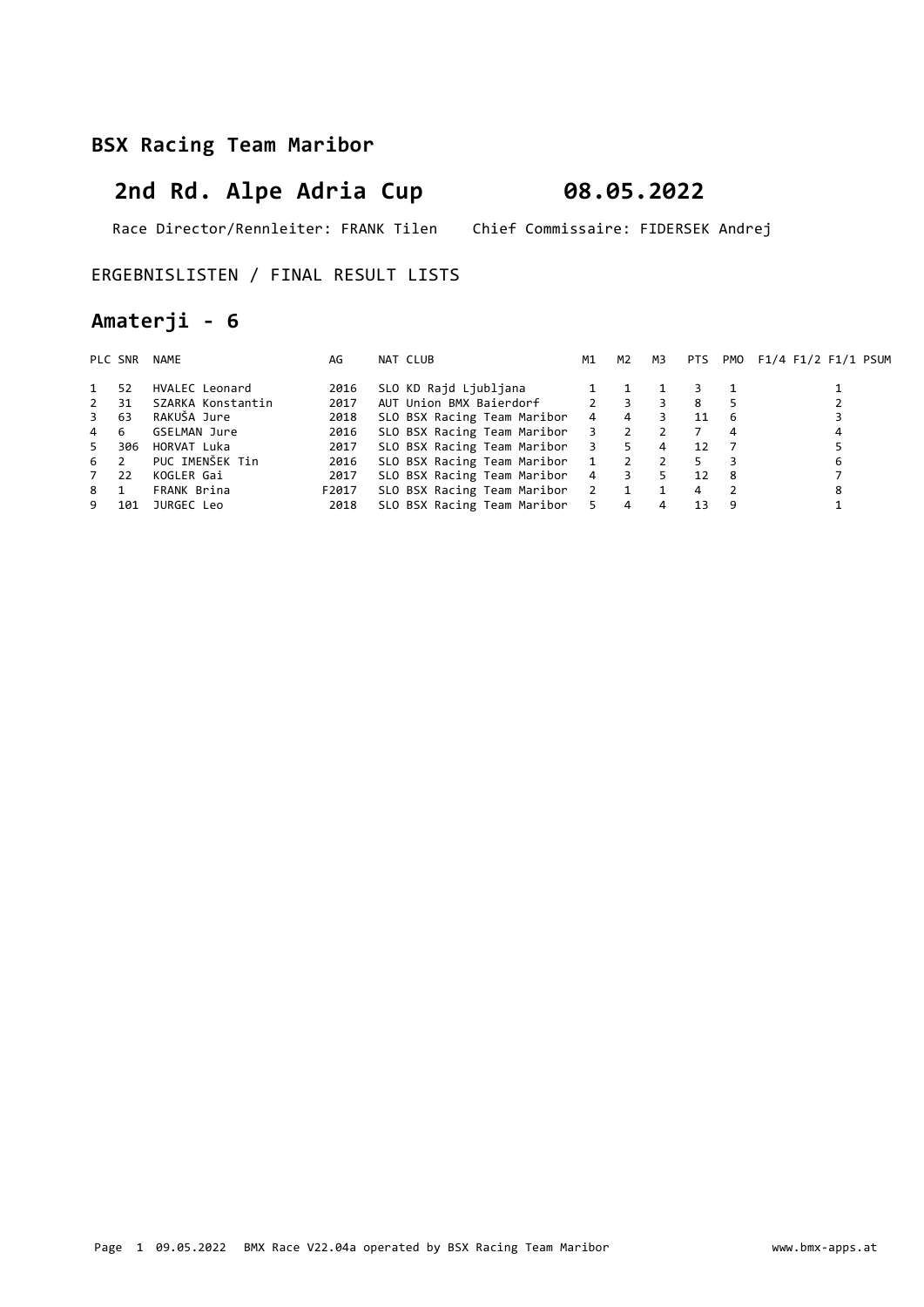# 2nd Rd. Alpe Adria Cup 08.05.2022

Race Director/Rennleiter: FRANK Tilen Chief Commissaire: FIDERSEK Andrej

#### ERGEBNISLISTEN / FINAL RESULT LISTS

## Amaterji - 6

|             | PLC SNR | NAME              | AG    | NAT CLUB                        | M1             | M2                      | мз             | PTS |     | PMO F1/4 F1/2 F1/1 PSUM |
|-------------|---------|-------------------|-------|---------------------------------|----------------|-------------------------|----------------|-----|-----|-------------------------|
|             | 52      | HVALEC Leonard    | 2016  | SLO KD Rajd Ljubljana           |                |                         |                |     |     |                         |
| $2^{\circ}$ | 31      | SZARKA Konstantin | 2017  | AUT Union BMX Baierdorf         |                | $2 \quad 3$             |                | 8   |     |                         |
| 3 63        |         | RAKUŠA Jure       | 2018  | SLO BSX Racing Team Maribor     | $\overline{4}$ | $\overline{4}$          | 3              | 11  | -6  |                         |
| 4 6         |         | GSELMAN Jure      | 2016  | SLO BSX Racing Team Maribor 3 2 |                |                         | 2              |     | 4   | 4                       |
| 5           | 306     | HORVAT Luka       | 2017  | SLO BSX Racing Team Maribor 3 5 |                |                         | $\overline{4}$ | 12  |     |                         |
| $6\quad 2$  |         | PUC IMENŠEK Tin   | 2016  | SLO BSX Racing Team Maribor 1   |                | $\overline{\mathbf{2}}$ | $\overline{2}$ | 5.  |     | 6                       |
| 7 22        |         | KOGLER Gai        | 2017  | SLO BSX Racing Team Maribor     |                | 4 3                     | 5              | 12  | - 8 |                         |
| 8 1         |         | FRANK Brina       | F2017 | SLO BSX Racing Team Maribor 2 1 |                |                         | $\overline{1}$ | 4   |     | 8                       |
| 9           | 101     | JURGEC Leo        | 2018  | SLO BSX Racing Team Maribor 5   |                | $\overline{4}$          | 4              | 13  | 9   |                         |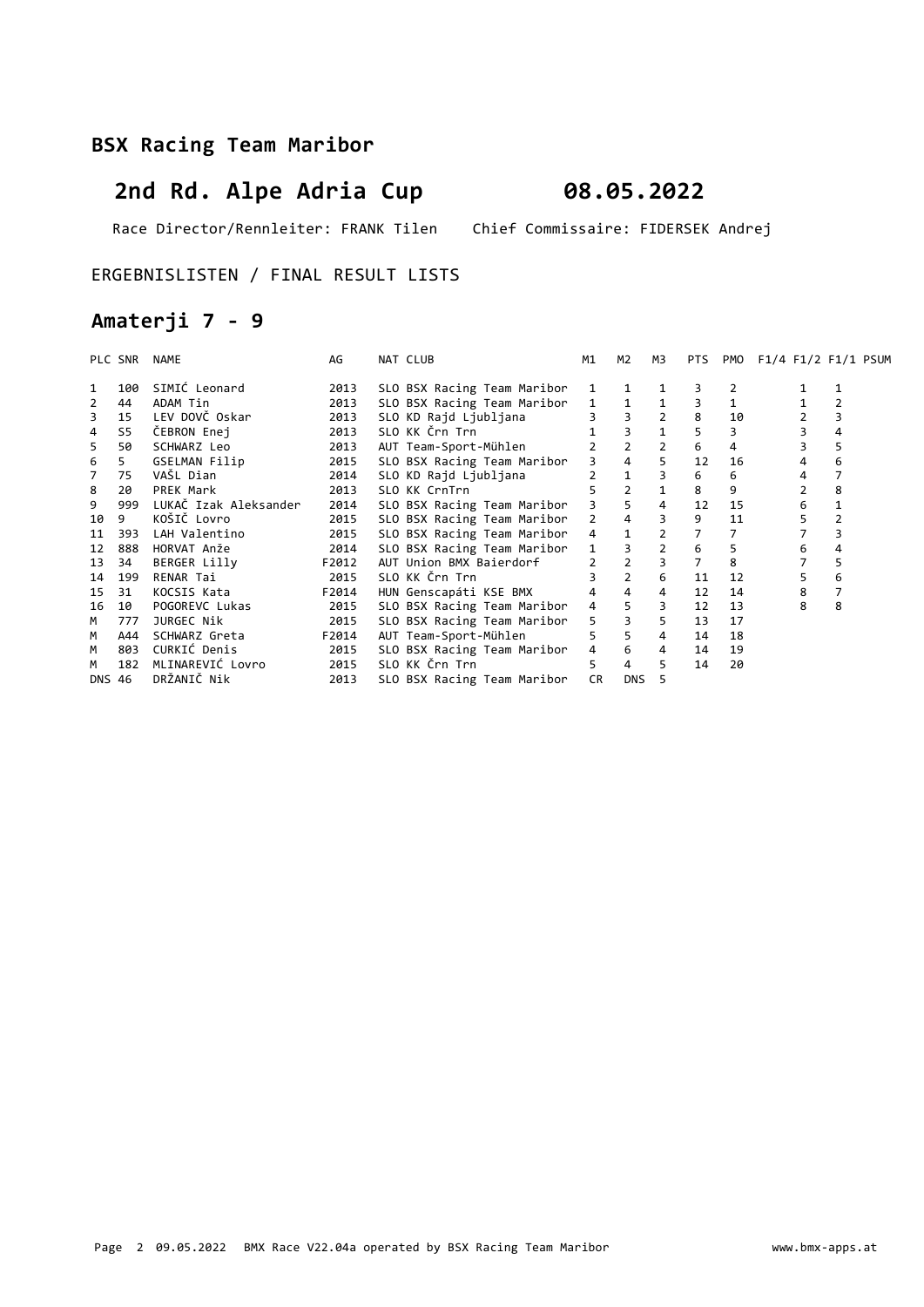# 2nd Rd. Alpe Adria Cup 08.05.2022

Race Director/Rennleiter: FRANK Tilen Chief Commissaire: FIDERSEK Andrej

#### ERGEBNISLISTEN / FINAL RESULT LISTS

## Amaterji 7 - 9

|    | PLC SNR | NAME                  | AG    | NAT CLUB                    | M1             | M2             | M3             | PTS            | PMO | F1/4 F1/2 F1/1 PSUM |    |
|----|---------|-----------------------|-------|-----------------------------|----------------|----------------|----------------|----------------|-----|---------------------|----|
|    | 100     | SIMIĆ Leonard         | 2013  | SLO BSX Racing Team Maribor |                |                |                |                |     |                     |    |
| 2  | 44      | ADAM Tin              | 2013  | SLO BSX Racing Team Maribor | $1 \quad$      |                |                | 3              |     |                     |    |
| 3  | 15      | LEV DOVČ Oskar        | 2013  | SLO KD Rajd Ljubljana       |                |                |                | 8              | 10  |                     |    |
| 4  | S5      | CEBRON Enej           | 2013  | SLO KK Črn Trn              |                |                | $\mathbf{1}$   |                |     |                     | 4  |
| 5  | 50      | SCHWARZ Leo           | 2013  | AUT Team-Sport-Mühlen       |                | $\overline{2}$ | $\overline{2}$ | 6              | 4   |                     | 5  |
| 6  | 5       | GSELMAN Filip         | 2015  | SLO BSX Racing Team Maribor |                | $\overline{4}$ | 5              | 12             | 16  | 4                   | 6  |
| 7  | 75      | VAŠL Dian             | 2014  | SLO KD Rajd Ljubljana       |                |                | 3              | 6              | 6   | 4                   |    |
| 8  | 20      | PREK Mark             | 2013  | SLO KK CrnTrn               |                | $\overline{2}$ |                | 8              | 9   |                     | 8  |
| 9  | 999     | LUKAČ Izak Aleksander | 2014  | SLO BSX Racing Team Maribor | $\overline{3}$ | $\overline{5}$ | 4              | 12             | 15  | 6                   |    |
| 10 | 9       | KOŠIČ Lovro           | 2015  | SLO BSX Racing Team Maribor | $2^{\circ}$    | $\overline{4}$ |                | 9              | 11  |                     |    |
| 11 | 393     | LAH Valentino         | 2015  | SLO BSX Racing Team Maribor | $4 \quad$      |                | $\overline{2}$ |                |     |                     |    |
| 12 | 888     | HORVAT Anže           | 2014  | SLO BSX Racing Team Maribor | $\mathbf{1}$   |                | $\overline{2}$ | 6              | 5   | 6                   |    |
| 13 | 34      | BERGER Lilly          | F2012 | AUT Union BMX Baierdorf     |                | $\overline{2}$ | $\overline{3}$ | $\overline{7}$ | 8   |                     | 5. |
| 14 | 199     | RENAR Tai             | 2015  | SLO KK Črn Trn              |                | $\overline{2}$ | 6              | 11             | 12  |                     | 6  |
| 15 | 31      | KOCSIS Kata           | F2014 | HUN Genscapáti KSE BMX      |                | $\overline{4}$ | 4              | 12             | 14  | 8                   |    |
| 16 | 10      | POGOREVC Lukas        | 2015  | SLO BSX Racing Team Maribor | $4 \quad$      | 5              | 3              | 12             | 13  | 8                   | 8  |
| M  | 777     | JURGEC Nik            | 2015  | SLO BSX Racing Team Maribor | $5^{\circ}$    | $\overline{3}$ | 5              | 13             | 17  |                     |    |
| М  | A44     | SCHWARZ Greta         | F2014 | AUT Team-Sport-Mühlen       |                | 5 <sup>1</sup> | $\overline{4}$ | 14             | 18  |                     |    |
| M  | 803     | CURKIĆ Denis          | 2015  | SLO BSX Racing Team Maribor | $4 \quad$      | 6              | $\overline{4}$ | 14             | 19  |                     |    |
| м  | 182     | MLINAREVIĆ Lovro      | 2015  | SLO KK Črn Trn              | 5.             | $\overline{4}$ | 5              | 14             | 20  |                     |    |
|    | DNS 46  | DRŽANIČ Nik           | 2013  | SLO BSX Racing Team Maribor | <b>CR</b>      | DNS            |                |                |     |                     |    |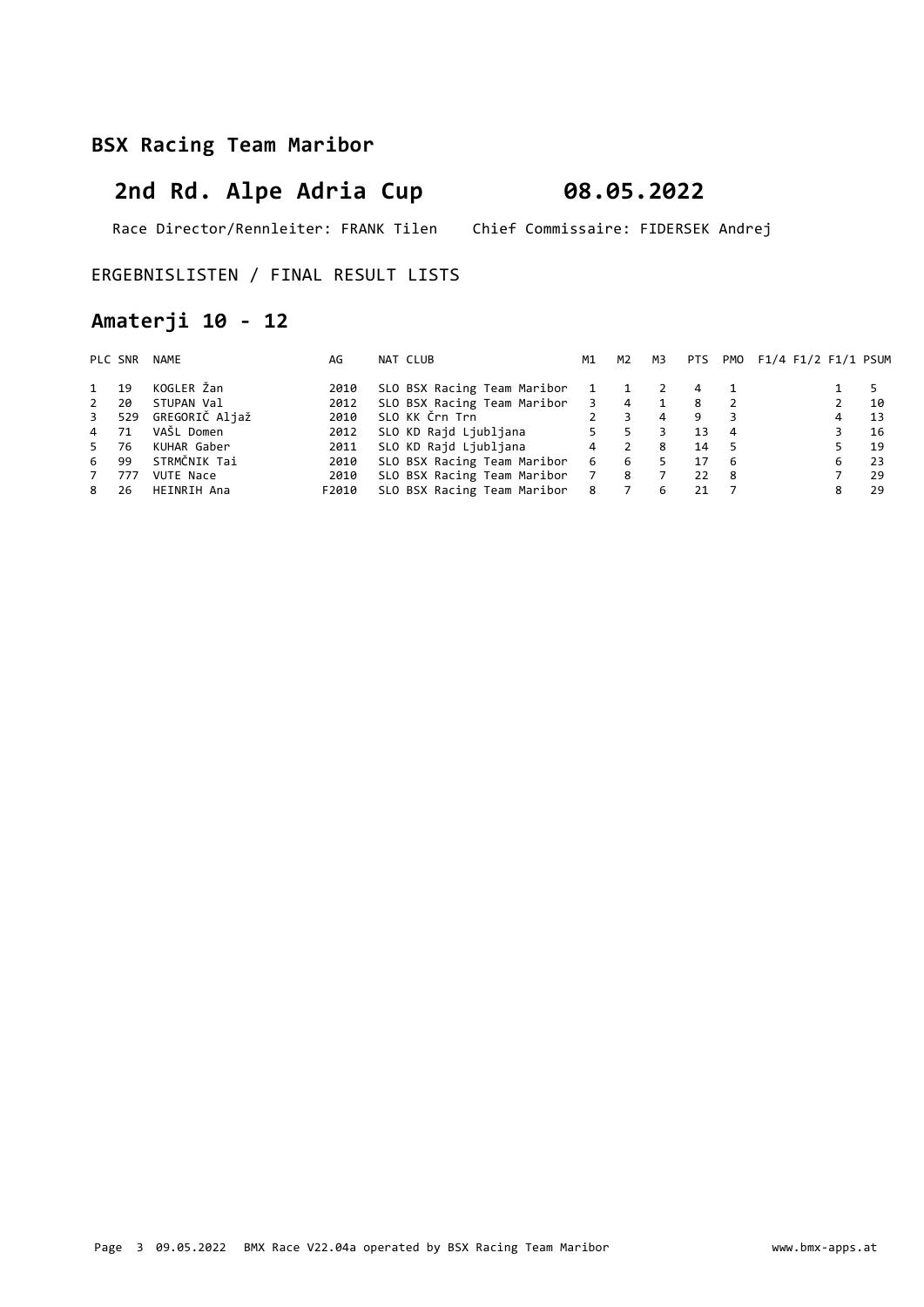# 2nd Rd. Alpe Adria Cup 08.05.2022

Race Director/Rennleiter: FRANK Tilen Chief Commissaire: FIDERSEK Andrej

### ERGEBNISLISTEN / FINAL RESULT LISTS

## Amaterji 10 - 12

|              | PLC SNR | NAME             | AG    | NAT CLUB                    | M1                      | M2             | M3             |    |     | PTS PMO F1/4 F1/2 F1/1 PSUM |    |
|--------------|---------|------------------|-------|-----------------------------|-------------------------|----------------|----------------|----|-----|-----------------------------|----|
| $\mathbf{1}$ | 19      | KOGLER Žan       | 2010  | SLO BSX Racing Team Maribor | 1                       |                |                | 4  |     |                             | 5  |
| $\mathbf{2}$ | 20      | STUPAN Val       | 2012  | SLO BSX Racing Team Maribor | $\overline{\mathbf{3}}$ | $\overline{4}$ |                | 8  | - 2 |                             | 10 |
| $3^{\circ}$  | 529     | GREGORIČ Aljaž   | 2010  | SLO KK Črn Trn              | $2^{\circ}$             | 3              | $\overline{4}$ | 9  |     |                             | 13 |
| 4 71         |         | VAŠL Domen       | 2012  | SLO KD Rajd Ljubljana       | $5 -$                   | 5              |                | 13 | 4   |                             | 16 |
| 5 76         |         | KUHAR Gaber      | 2011  | SLO KD Rajd Ljubljana       | $\overline{4}$          | 2              | 8              | 14 | -5  |                             | 19 |
| 6 99         |         | STRMČNIK Tai     | 2010  | SLO BSX Racing Team Maribor | 6                       | 6              |                | 17 | - 6 | 6                           | 23 |
| $7^{\circ}$  | 777     | <b>VUTE Nace</b> | 2010  | SLO BSX Racing Team Maribor | 7 8                     |                |                | 22 | - 8 |                             | 29 |
| 8            | 26      | HEINRIH Ana      | F2010 | SLO BSX Racing Team Maribor | 8                       | $\overline{7}$ | 6              | 21 |     |                             | 29 |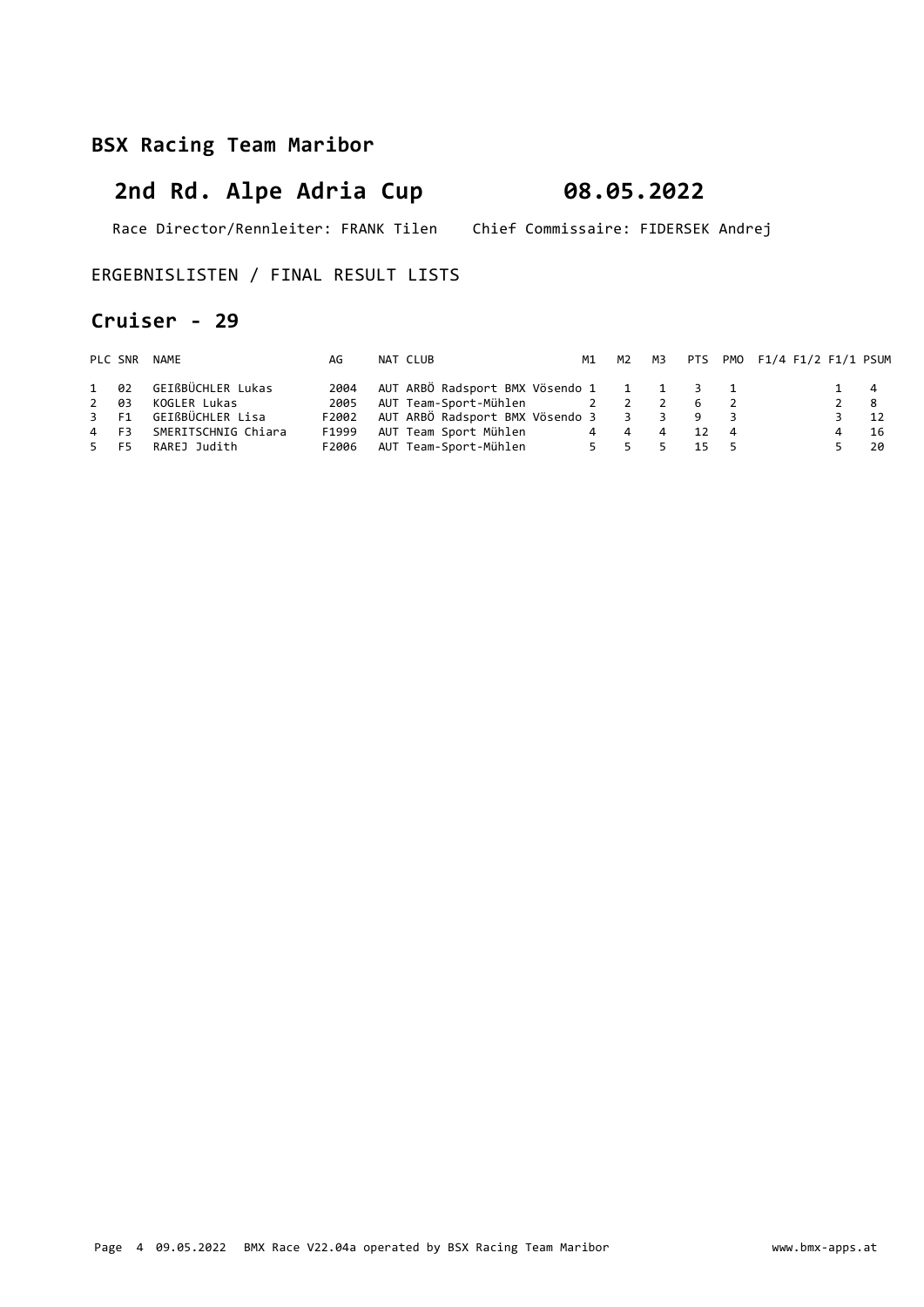# 2nd Rd. Alpe Adria Cup 08.05.2022

Race Director/Rennleiter: FRANK Tilen Chief Commissaire: FIDERSEK Andrej

### ERGEBNISLISTEN / FINAL RESULT LISTS

### Cruiser - 29

|      | PLC SNR NAME             | AG    | NAT CLUB                                |       |  |      | M1 M2 M3 PTS PM0 F1/4 F1/2 F1/1 PSUM |             |      |
|------|--------------------------|-------|-----------------------------------------|-------|--|------|--------------------------------------|-------------|------|
|      | 1 02 GEIßBÜCHLER Lukas   | 2004  | AUT ARBÖ Radsport BMX Vösendo 1 1 1 3 1 |       |  |      |                                      | $1 \quad 4$ |      |
| 2 03 | KOGLER Lukas             | 2005  | AUT Team-Sport-Mühlen 1 2 2 2 6 2       |       |  |      |                                      | $2 \quad 8$ |      |
|      | 3 F1 GEIßBÜCHLER Lisa    | F2002 | AUT ARBÖ Radsport BMX Vösendo 3 3 3 9 3 |       |  |      |                                      | $3 \t 12$   |      |
|      | 4 F3 SMERITSCHNIG Chiara | F1999 | AUT Team Sport Mühlen 14 4 4 12 4       |       |  |      |                                      |             | - 16 |
|      | 5 F5 RAREJ Judith        | F2006 | AUT Team-Sport-Mühlen                   | 5 5 5 |  | 15 5 |                                      |             | - 20 |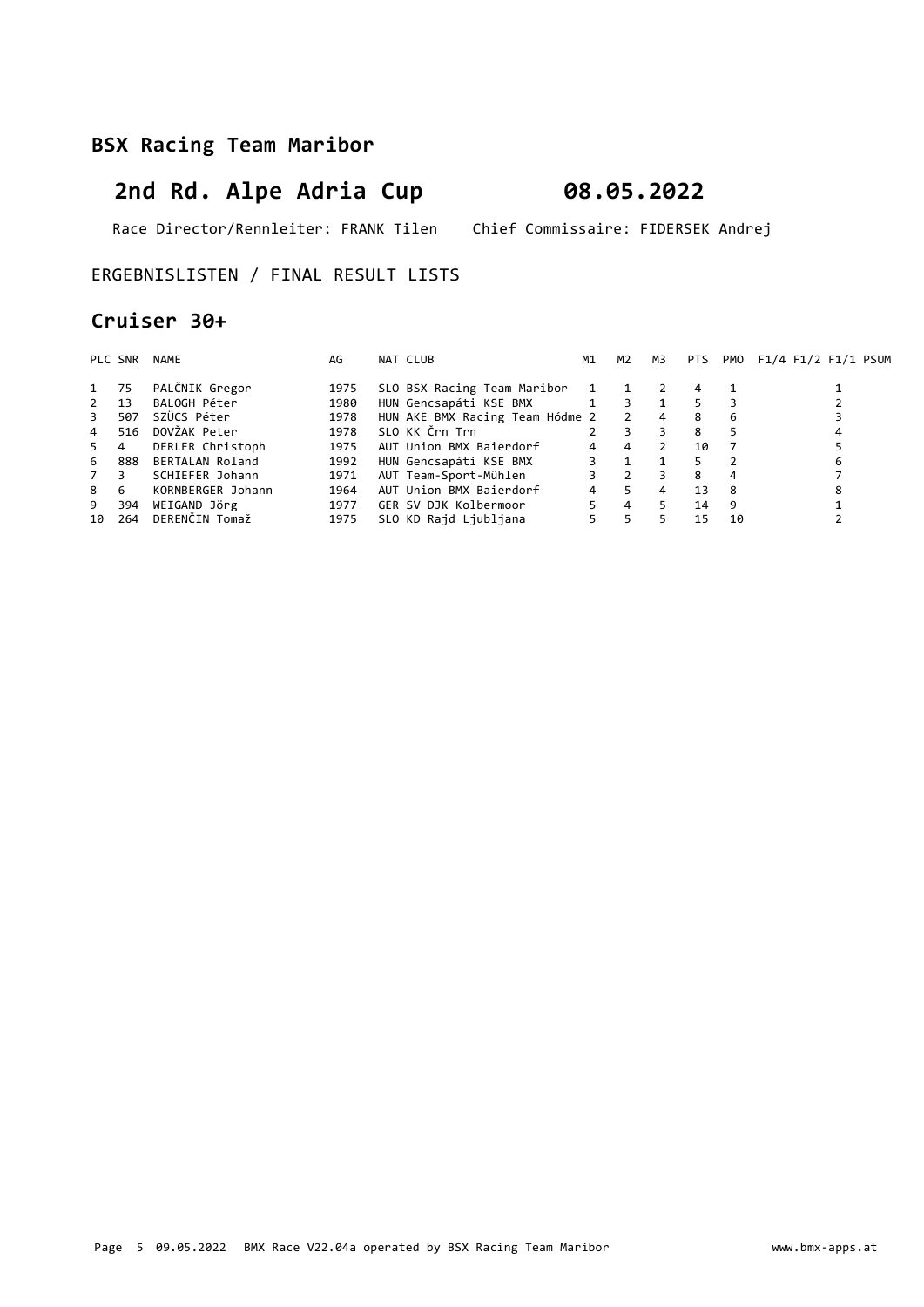# 2nd Rd. Alpe Adria Cup 08.05.2022

Race Director/Rennleiter: FRANK Tilen Chief Commissaire: FIDERSEK Andrej

#### ERGEBNISLISTEN / FINAL RESULT LISTS

### Cruiser 30+

|                | PLC SNR | NAME              | AG   | NAT CLUB                        | M1           | M2                       | M3             | PTS |    | PMO F1/4 F1/2 F1/1 PSUM |
|----------------|---------|-------------------|------|---------------------------------|--------------|--------------------------|----------------|-----|----|-------------------------|
| 1 75           |         | PALČNIK Gregor    | 1975 | SLO BSX Racing Team Maribor     | $\mathbf{1}$ |                          |                | 4   |    |                         |
| $2 \t 13$      |         | BALOGH Péter      | 1980 | HUN Gencsapáti KSE BMX          | 1            | 3                        | 1              | 5   |    |                         |
| $\overline{3}$ | 507     | SZÜCS Péter       | 1978 | HUN AKE BMX Racing Team Hódme 2 |              | $\overline{2}$           | $\overline{4}$ | 8   | 6  |                         |
| $\overline{4}$ | 516     | DOVŽAK Peter      | 1978 | SLO KK Črn Trn                  |              | 3                        | 3.             | 8   |    |                         |
| 5              | 4       | DERLER Christoph  | 1975 | AUT Union BMX Baierdorf         | 4            | $\overline{4}$           |                | 10  |    |                         |
| 6              | 888     | BERTALAN Roland   | 1992 | HUN Gencsapáti KSE BMX          |              |                          |                |     |    | 6                       |
| 7              | 3       | SCHIEFER Johann   | 1971 | AUT Team-Sport-Mühlen           |              | $\overline{\phantom{0}}$ |                | 8   | 4  |                         |
| 8              | 6       | KORNBERGER Johann | 1964 | AUT Union BMX Baierdorf         | 4            | 5.                       | 4              | 13  | -8 | 8                       |
| 9              | 394     | WEIGAND Jörg      | 1977 | GER SV DJK Kolbermoor           |              | 4                        |                | 14  | 9  |                         |
| 10             | 264     | DERENČIN Tomaž    | 1975 | SLO KD Rajd Ljubljana           | 5            | 5.                       |                | 15  | 10 |                         |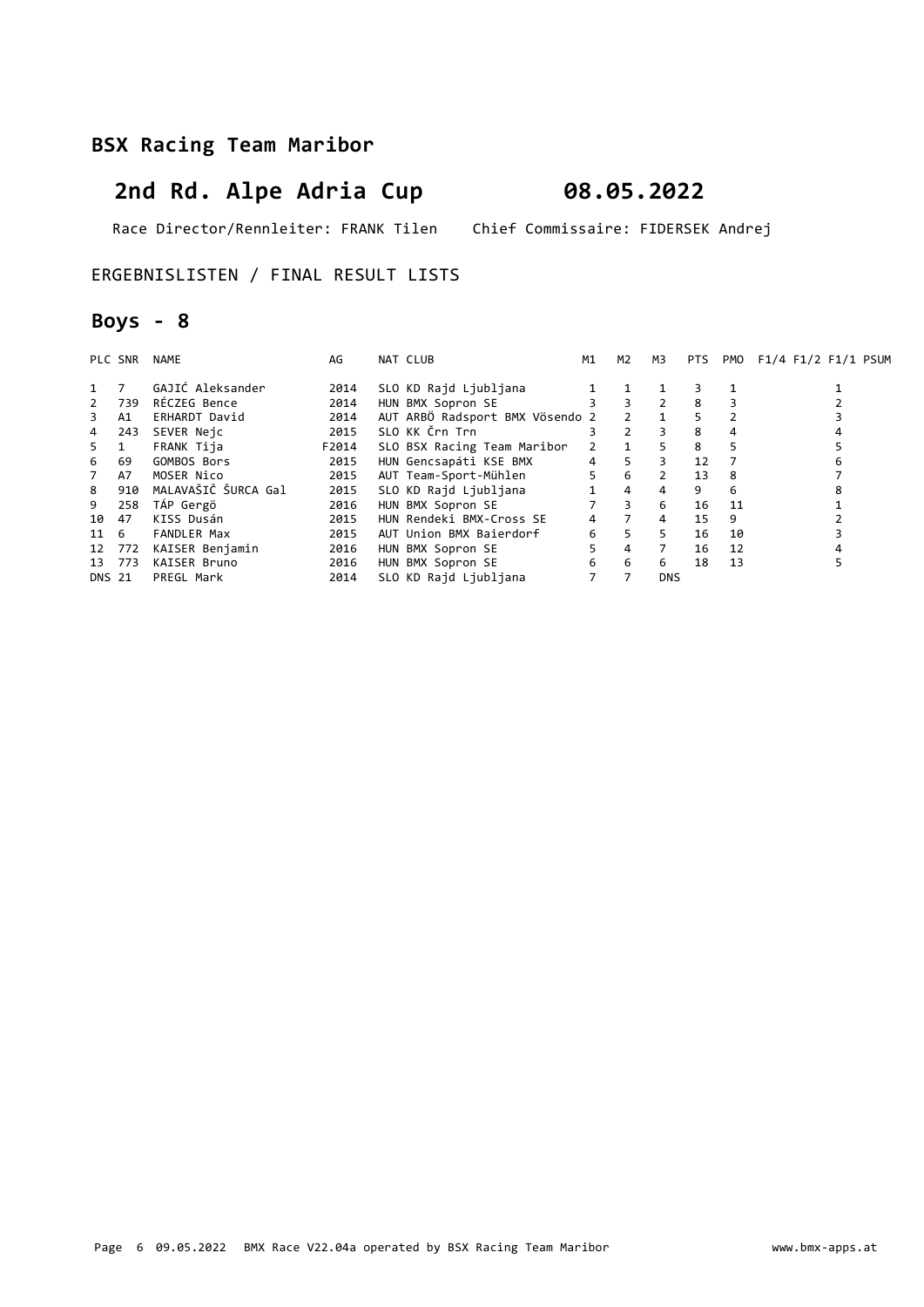# 2nd Rd. Alpe Adria Cup 08.05.2022

Race Director/Rennleiter: FRANK Tilen Chief Commissaire: FIDERSEK Andrej

#### ERGEBNISLISTEN / FINAL RESULT LISTS

## Boys - 8

|              | PLC SNR | NAME                | AG    | NAT CLUB                        | M1 | M2                      | мз             | PTS. | PMO | F1/4 F1/2 F1/1 PSUM |
|--------------|---------|---------------------|-------|---------------------------------|----|-------------------------|----------------|------|-----|---------------------|
|              | 7       | GAJIĆ Aleksander    | 2014  | SLO KD Rajd Ljubljana           |    |                         |                |      |     |                     |
| $\mathbf{2}$ | 739     | RÉCZEG Bence        | 2014  | HUN BMX Sopron SE               |    | $\overline{3}$          | 2              | 8    |     |                     |
| 3            | A1      | ERHARDT David       | 2014  | AUT ARBÖ Radsport BMX Vösendo 2 |    | 2                       |                | 5    |     |                     |
| 4            | 243     | SEVER Neic          | 2015  | SLO KK Črn Trn                  |    | $\mathcal{P}$           | 3              | 8    | 4   |                     |
| 5.           | 1       | FRANK Tija          | F2014 | SLO BSX Racing Team Maribor     | 2  | $\overline{\mathbf{1}}$ | 5              | 8    | 5   |                     |
| 6            | 69      | GOMBOS Bors         | 2015  | HUN Gencsapáti KSE BMX          | 4  | 5                       | 3              | 12   |     | 6                   |
| 7            | A7      | MOSER Nico          | 2015  | AUT Team-Sport-Mühlen           | 5  | 6                       |                | 13   | 8   |                     |
| 8            | 910     | MALAVAŠIČ ŠURCA Gal | 2015  | SLO KD Raid Liubliana           |    | $\overline{4}$          | 4              | 9    | 6   | 8                   |
| 9            | 258     | TÁP Gergö           | 2016  | HUN BMX Sopron SE               |    | $\overline{3}$          | 6              | 16   | 11  |                     |
| 10           | 47      | KISS Dusán          | 2015  | HUN Rendeki BMX-Cross SE        | 4  | $\overline{7}$          | $\overline{4}$ | 15   | 9   |                     |
| 11 6         |         | <b>FANDLER Max</b>  | 2015  | AUT Union BMX Baierdorf         | 6  | 5                       | 5              | 16   | 10  |                     |
| 12           | 772     | KAISER Benjamin     | 2016  | HUN BMX Sopron SE               | 5. | $\overline{4}$          | $\overline{7}$ | 16   | 12  |                     |
| 13           | 773     | KAISER Bruno        | 2016  | HUN BMX Sopron SE               | 6  | 6                       | 6              | 18   | 13  |                     |
| DNS 21       |         | PREGL Mark          | 2014  | SLO KD Rajd Ljubljana           |    |                         | <b>DNS</b>     |      |     |                     |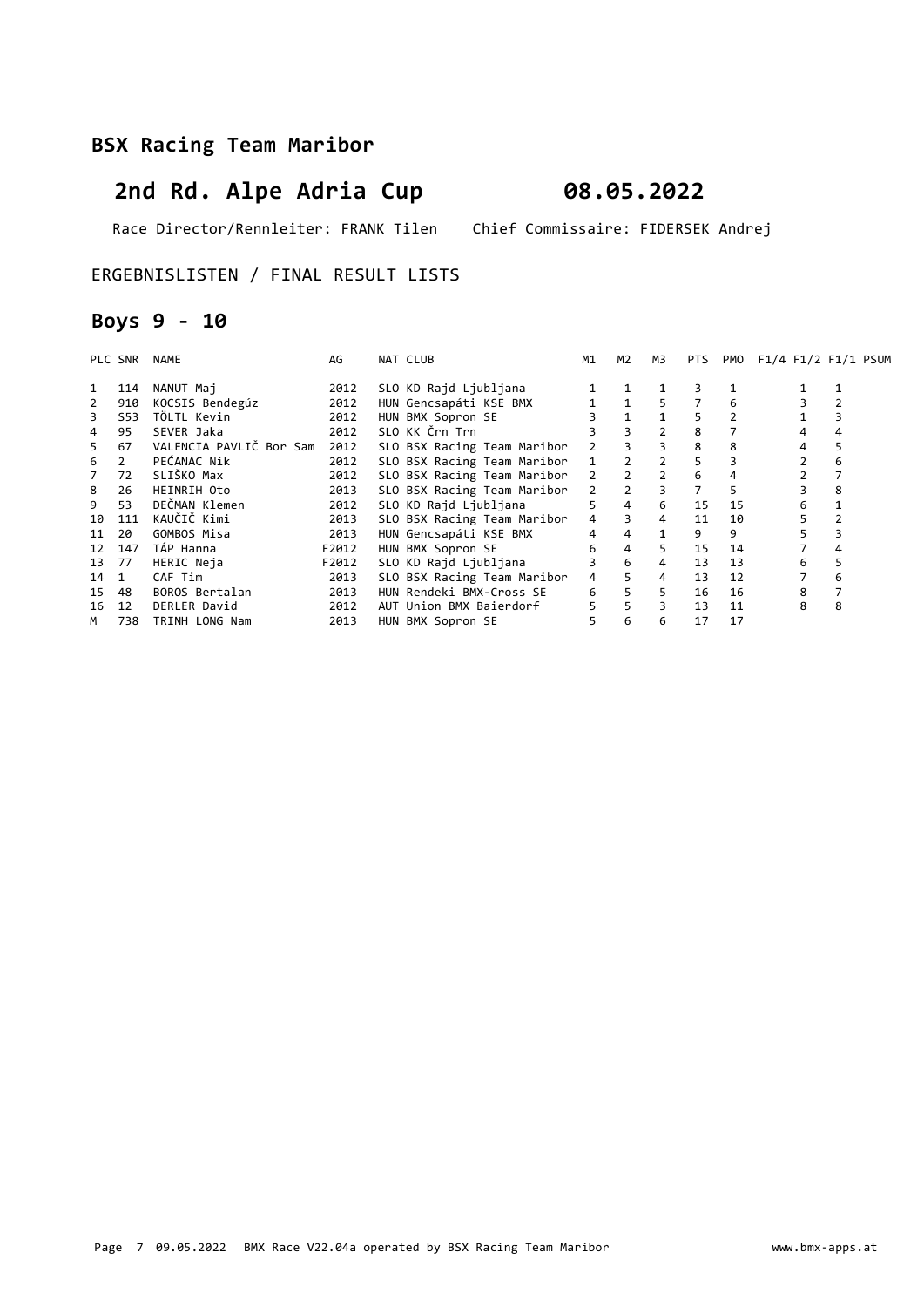# 2nd Rd. Alpe Adria Cup 08.05.2022

Race Director/Rennleiter: FRANK Tilen Chief Commissaire: FIDERSEK Andrej

ERGEBNISLISTEN / FINAL RESULT LISTS

## Boys 9 - 10

|    | PLC SNR        | NAME                    | AG    | NAT CLUB                    | M1            | M2             | M3             | <b>PTS</b>     | PMO | F1/4 F1/2 F1/1 PSUM |   |
|----|----------------|-------------------------|-------|-----------------------------|---------------|----------------|----------------|----------------|-----|---------------------|---|
| 1  | 114            | NANUT Maj               | 2012  | SLO KD Raid Liubliana       |               |                |                |                |     |                     |   |
|    | 910            | KOCSIS Bendegúz         | 2012  | HUN Gencsapáti KSE BMX      |               | $\mathbf{1}$   | 5              |                | 6   |                     |   |
|    | S53            | TÖLTL Kevin             | 2012  | HUN BMX Sopron SE           |               |                |                | 5.             |     |                     |   |
| 4  | 95             | SEVER Jaka              | 2012  | SLO KK Črn Trn              |               | $\overline{3}$ |                | 8              |     | 4                   |   |
| 5. | 67             | VALENCIA PAVLIČ Bor Sam | 2012  | SLO BSX Racing Team Maribor | $\mathcal{P}$ |                | 3              | 8              | 8   | 4                   |   |
| 6  | $\overline{2}$ | PEĆANAC Nik             | 2012  | SLO BSX Racing Team Maribor | $\mathbf{1}$  |                |                | 5.             |     |                     | 6 |
|    | 72             | SLIŠKO Max              | 2012  | SLO BSX Racing Team Maribor | 2             | $\overline{2}$ | $\overline{2}$ | 6              | 4   |                     |   |
| 8  | 26             | HEINRIH Oto             | 2013  | SLO BSX Racing Team Maribor | $\mathcal{P}$ | $\overline{2}$ | $\overline{3}$ | $\overline{7}$ | 5   |                     | 8 |
| 9  | 53             | DEČMAN Klemen           | 2012  | SLO KD Raid Liubliana       | 5             | $\overline{4}$ | 6              | 15             | 15  | 6                   |   |
| 10 | 111            | KAUČIČ Kimi             | 2013  | SLO BSX Racing Team Maribor | 4             | $\overline{3}$ | $\overline{4}$ | 11             | 10  | 5.                  |   |
| 11 | 20             | GOMBOS Misa             | 2013  | HUN Gencsapáti KSE BMX      | 4             | 4              | 1              | 9              | 9   |                     |   |
| 12 | 147            | TÁP Hanna               | F2012 | HUN BMX Sopron SE           | 6             | $\overline{4}$ | 5.             | 15             | 14  |                     |   |
| 13 | 77             | HERIC Neja              | F2012 | SLO KD Rajd Ljubljana       | 3             | 6              | 4              | 13             | 13  | 6                   | 5 |
| 14 | 1              | CAF Tim                 | 2013  | SLO BSX Racing Team Maribor | 4             | 5              | 4              | 13             | 12  |                     | 6 |
| 15 | 48             | BOROS Bertalan          | 2013  | HUN Rendeki BMX-Cross SE    | 6             | 5              | 5              | 16             | 16  | 8                   |   |
| 16 | 12             | DERLER David            | 2012  | AUT Union BMX Baierdorf     | 5             | 5              | 3              | 13             | 11  | 8                   | 8 |
| M  | 738            | TRINH LONG Nam          | 2013  | HUN BMX Sopron SE           | 5             | 6              | 6              | 17             | 17  |                     |   |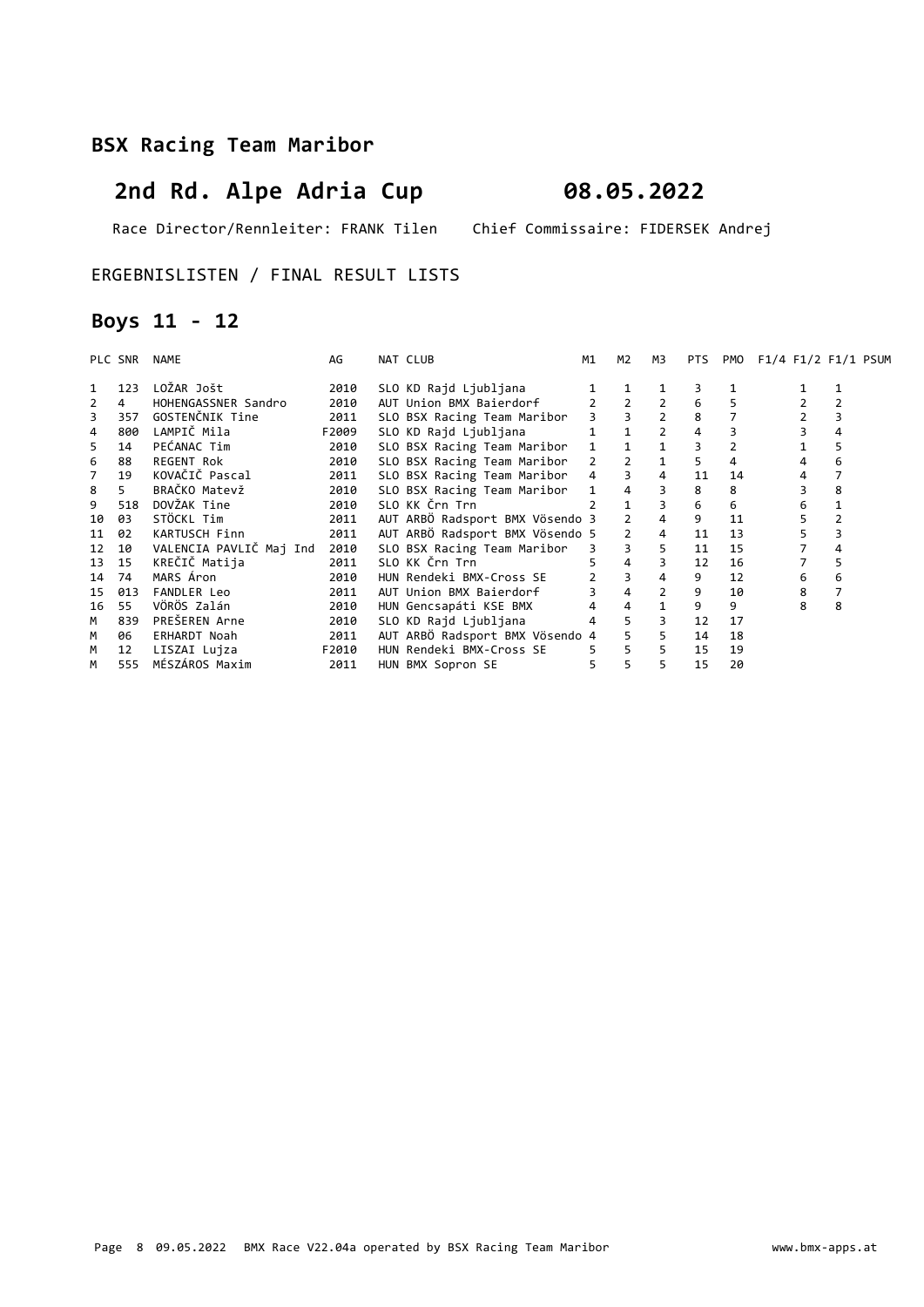# 2nd Rd. Alpe Adria Cup 08.05.2022

Race Director/Rennleiter: FRANK Tilen Chief Commissaire: FIDERSEK Andrej

#### ERGEBNISLISTEN / FINAL RESULT LISTS

## Boys 11 - 12

|    | PLC SNR        | NAME                    | AG    | NAT CLUB                        | M1                     | M2             | ΜЗ             | <b>PTS</b> | PMO | F1/4 F1/2 F1/1 PSUM |    |
|----|----------------|-------------------------|-------|---------------------------------|------------------------|----------------|----------------|------------|-----|---------------------|----|
| 1  | 123            | LOŽAR Jošt              | 2010  | SLO KD Rajd Ljubljana           |                        |                |                |            |     |                     |    |
| 2  | $\overline{4}$ | HOHENGASSNER Sandro     | 2010  | AUT Union BMX Baierdorf         |                        |                | $\overline{2}$ |            |     |                     |    |
| 3  | 357            | GOSTENČNIK Tine         | 2011  | SLO BSX Racing Team Maribor     |                        |                | $\overline{2}$ | 8          |     |                     |    |
| 4  | 800            | LAMPIČ Mila             | F2009 | SLO KD Rajd Ljubljana           |                        | $\mathbf{1}$   | $\overline{2}$ | 4          |     |                     |    |
| 5  | 14             | PEĆANAC Tim             | 2010  | SLO BSX Racing Team Maribor     | $1 \quad \blacksquare$ |                |                |            |     |                     |    |
| 6  | 88             | REGENT Rok              | 2010  | SLO BSX Racing Team Maribor     | $\mathcal{P}$          | $\mathcal{L}$  |                | 5.         | 4   |                     | 6  |
| 7  | 19             | KOVAČIČ Pascal          | 2011  | SLO BSX Racing Team Maribor     | $\overline{4}$         | $\overline{3}$ | $\overline{4}$ | 11         | 14  |                     |    |
| 8  | 5.             | BRAČKO Matevž           | 2010  | SLO BSX Racing Team Maribor     | $1 \quad$              |                | 3              | 8          | 8   |                     | 8  |
| 9  | 518            | DOVŽAK Tine             | 2010  | SLO KK Črn Trn                  |                        | $\mathbf{1}$   | 3              | 6          | 6   | 6                   |    |
| 10 | 03             | STÖCKL Tim              | 2011  | AUT ARBÖ Radsport BMX Vösendo 3 |                        | 2              |                | 9          | 11  | 5                   |    |
| 11 | 02             | KARTUSCH Finn           | 2011  | AUT ARBÖ Radsport BMX Vösendo 5 |                        | $2^{\circ}$    | $\overline{4}$ | 11         | 13  |                     |    |
| 12 | 10             | VALENCIA PAVLIČ Maj Ind | 2010  | SLO BSX Racing Team Maribor     | $3^{\circ}$            |                | 5              | 11         | 15  |                     |    |
| 13 | 15             | KREČIČ Matija           | 2011  | SLO KK Črn Trn                  | 5.                     | $\overline{4}$ | 3              | 12         | 16  |                     | 5. |
| 14 | 74             | MARS Áron               | 2010  | HUN Rendeki BMX-Cross SE        |                        |                |                | 9          | 12  | 6                   | 6  |
| 15 | 013            | FANDLER Leo             | 2011  | AUT Union BMX Baierdorf         |                        | $\overline{4}$ | $\overline{2}$ | 9          | 10  | 8                   |    |
| 16 | 55             | VÖRÖS Zalán             | 2010  | HUN Gencsapáti KSE BMX          | 4                      | $\overline{4}$ | $\mathbf{1}$   | 9          | 9   | 8                   | 8  |
| M  | 839            | PREŠEREN Arne           | 2010  | SLO KD Rajd Ljubljana           | 4                      | 5              | 3              | 12         | 17  |                     |    |
| M  | 06             | ERHARDT Noah            | 2011  | AUT ARBÖ Radsport BMX Vösendo 4 |                        |                | 5              | 14         | 18  |                     |    |
| М  | 12             | LISZAI Lujza            | F2010 | HUN Rendeki BMX-Cross SE        | 5.                     | $5^{\circ}$    | 5 <sub>1</sub> | 15         | 19  |                     |    |
| M  | 555            | MÉSZÁROS Maxim          | 2011  | HUN BMX Sopron SE               | 5                      | 5              | 5              | 15         | 20  |                     |    |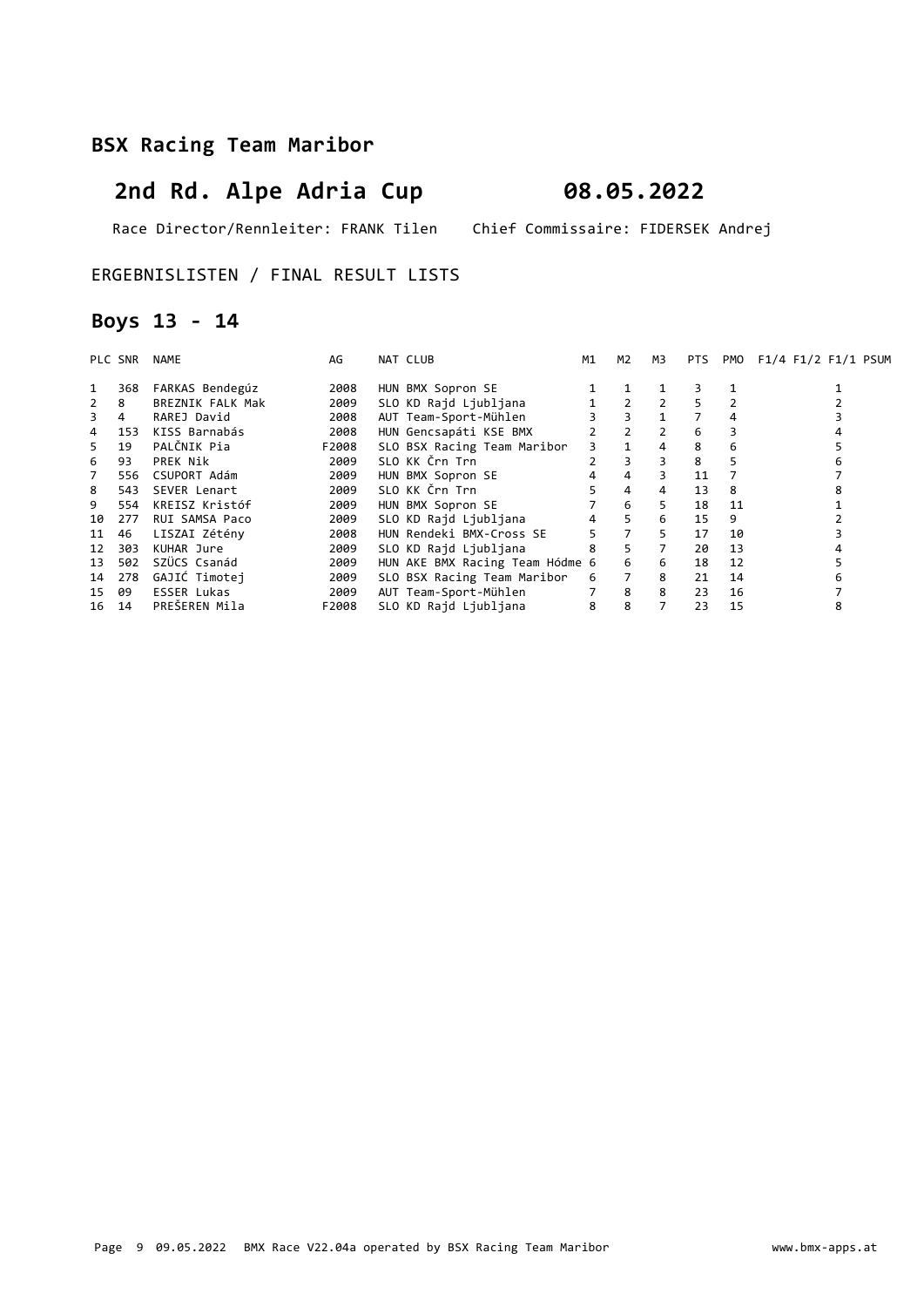# 2nd Rd. Alpe Adria Cup 08.05.2022

Race Director/Rennleiter: FRANK Tilen Chief Commissaire: FIDERSEK Andrej

#### ERGEBNISLISTEN / FINAL RESULT LISTS

## Boys 13 - 14

|    | PLC SNR | NAME               | AG    | NAT CLUB                        | M1 | M2             | M3             | PTS |    | PMO F1/4 F1/2 F1/1 PSUM |
|----|---------|--------------------|-------|---------------------------------|----|----------------|----------------|-----|----|-------------------------|
|    | 368     | FARKAS Bendegúz    | 2008  | HUN BMX Sopron SE               |    |                |                |     |    |                         |
|    | 8       | BREZNIK FALK Mak   | 2009  | SLO KD Rajd Ljubljana           |    | $\overline{2}$ |                | 5   |    |                         |
| 3  | 4       | RAREJ David        | 2008  | AUT Team-Sport-Mühlen           |    | $\overline{3}$ |                |     | 4  |                         |
| 4  | 153     | KISS Barnabás      | 2008  | HUN Gencsapáti KSE BMX          |    | 2              | 2              | 6   |    |                         |
| 5. | 19      | PALČNIK Pia        | F2008 | SLO BSX Racing Team Maribor     | 3. |                | 4              | 8   | 6  |                         |
| 6  | 93      | PREK Nik           | 2009  | SLO KK Črn Trn                  |    | 3              | 3.             | 8   | 5  |                         |
| 7  | 556     | CSUPORT Adám       | 2009  | HUN BMX Sopron SE               |    | 4              | 3              | 11  |    |                         |
| 8  | 543     | SEVER Lenart       | 2009  | SLO KK Črn Trn                  |    | 4              | 4              | 13  | 8  |                         |
| 9  | 554     | KREISZ Kristóf     | 2009  | HUN BMX Sopron SE               |    | 6              | 5.             | 18  | 11 |                         |
| 10 | 277     | RUI SAMSA Paco     | 2009  | SLO KD Rajd Ljubljana           | 4  | 5 <sup>5</sup> | 6              | 15  | 9  |                         |
| 11 | 46      | LISZAI Zétény      | 2008  | HUN Rendeki BMX-Cross SE        | 5. | $7^{\circ}$    | 5              | 17  | 10 |                         |
| 12 | 303     | KUHAR Jure         | 2009  | SLO KD Rajd Ljubljana           | 8  | 5 <sup>5</sup> | $\overline{7}$ | 20  | 13 |                         |
| 13 | 502     | SZÜCS Csanád       | 2009  | HUN AKE BMX Racing Team Hódme 6 |    | 6              | 6              | 18  | 12 |                         |
| 14 | 278     | GAJIĆ Timotej      | 2009  | SLO BSX Racing Team Maribor     | 6  | $\overline{7}$ | 8              | 21  | 14 |                         |
| 15 | 09      | <b>ESSER Lukas</b> | 2009  | AUT Team-Sport-Mühlen           |    | 8              | 8              | 23  | 16 |                         |
|    | 16 14   | PREŠEREN Mila      | F2008 | SLO KD Rajd Ljubljana           | 8  | 8              |                | 23  | 15 | 8                       |
|    |         |                    |       |                                 |    |                |                |     |    |                         |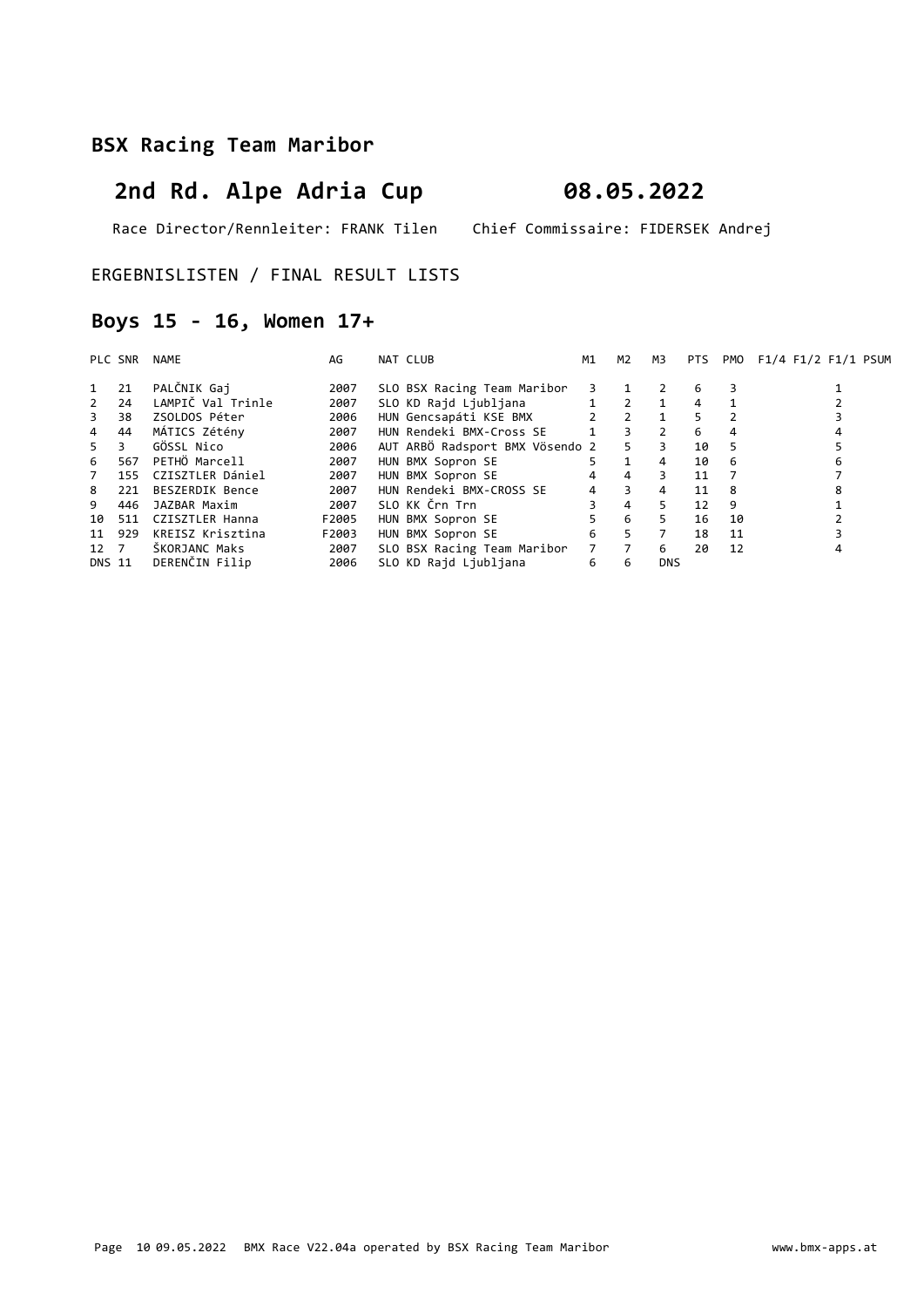# 2nd Rd. Alpe Adria Cup 08.05.2022

Race Director/Rennleiter: FRANK Tilen Chief Commissaire: FIDERSEK Andrej

ERGEBNISLISTEN / FINAL RESULT LISTS

## Boys 15 - 16, Women 17+

| PLC SNR        |     | NAME              | AG    | NAT CLUB                        | M1        | M2                      | M3             |    |    | PTS PMO F1/4 F1/2 F1/1 PSUM |
|----------------|-----|-------------------|-------|---------------------------------|-----------|-------------------------|----------------|----|----|-----------------------------|
| 1              | 21  | PALČNIK Gaj       | 2007  | SLO BSX Racing Team Maribor     | 3         |                         |                | 6  | 3  |                             |
| $2^{\circ}$    | 24  | LAMPIČ Val Trinle | 2007  | SLO KD Rajd Ljubljana           |           | $1 \quad 2 \quad 1$     |                | 4  |    |                             |
| $3^{\circ}$    | 38  | ZSOLDOS Péter     | 2006  | HUN Gencsapáti KSE BMX          |           | $2 \t2$                 | $\overline{1}$ | 5. |    |                             |
| $\overline{4}$ | 44  | MÁTICS Zétény     | 2007  | HUN Rendeki BMX-Cross SE        | $1 \quad$ | $3^{\circ}$             | $\overline{2}$ | 6  | 4  |                             |
| $5 -$          | 3   | GÖSSL Nico        | 2006  | AUT ARBÖ Radsport BMX Vösendo 2 |           | 5                       | 3              | 10 | 5  |                             |
| 6              | 567 | PETHÖ Marcell     | 2007  | HUN BMX Sopron SE               | 5.        | $\mathbf{1}$            | $\overline{4}$ | 10 | -6 |                             |
| 7              | 155 | CZISZTLER Dániel  | 2007  | HUN BMX Sopron SE               | 4         | $\overline{4}$          | 3              | 11 |    |                             |
| 8              | 221 | BESZERDIK Bence   | 2007  | HUN Rendeki BMX-CROSS SE        | 4         | $\overline{\mathbf{3}}$ | $\overline{4}$ | 11 | 8  |                             |
| 9              | 446 | JAZBAR Maxim      | 2007  | SLO KK Črn Trn                  |           | $\overline{4}$          | 5.             | 12 | 9  |                             |
| 10             | 511 | CZISZTLER Hanna   | F2005 | HUN BMX Sopron SE               | 5         | 6                       | 5.             | 16 | 10 |                             |
| 11 929         |     | KREISZ Krisztina  | F2003 | HUN BMX Sopron SE               | 6         | 5                       | $\overline{7}$ | 18 | 11 |                             |
| 12 7           |     | ŠKORJANC Maks     | 2007  | SLO BSX Racing Team Maribor     |           | $7 \overline{7}$        | 6              | 20 | 12 |                             |
| DNS 11         |     | DERENČIN Filip    | 2006  | SLO KD Rajd Ljubljana           | 6         | 6                       | <b>DNS</b>     |    |    |                             |